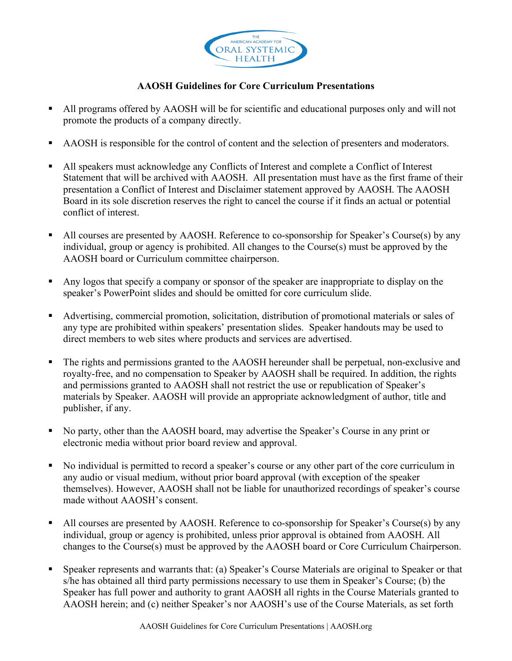

## **AAOSH Guidelines for Core Curriculum Presentations**

- All programs offered by AAOSH will be for scientific and educational purposes only and will not promote the products of a company directly.
- AAOSH is responsible for the control of content and the selection of presenters and moderators.
- All speakers must acknowledge any Conflicts of Interest and complete a Conflict of Interest Statement that will be archived with AAOSH. All presentation must have as the first frame of their presentation a Conflict of Interest and Disclaimer statement approved by AAOSH. The AAOSH Board in its sole discretion reserves the right to cancel the course if it finds an actual or potential conflict of interest.
- All courses are presented by AAOSH. Reference to co-sponsorship for Speaker's Course(s) by any individual, group or agency is prohibited. All changes to the Course(s) must be approved by the AAOSH board or Curriculum committee chairperson.
- Any logos that specify a company or sponsor of the speaker are inappropriate to display on the speaker's PowerPoint slides and should be omitted for core curriculum slide.
- Advertising, commercial promotion, solicitation, distribution of promotional materials or sales of any type are prohibited within speakers' presentation slides. Speaker handouts may be used to direct members to web sites where products and services are advertised.
- The rights and permissions granted to the AAOSH hereunder shall be perpetual, non-exclusive and royalty-free, and no compensation to Speaker by AAOSH shall be required. In addition, the rights and permissions granted to AAOSH shall not restrict the use or republication of Speaker's materials by Speaker. AAOSH will provide an appropriate acknowledgment of author, title and publisher, if any.
- No party, other than the AAOSH board, may advertise the Speaker's Course in any print or electronic media without prior board review and approval.
- No individual is permitted to record a speaker's course or any other part of the core curriculum in any audio or visual medium, without prior board approval (with exception of the speaker themselves). However, AAOSH shall not be liable for unauthorized recordings of speaker's course made without AAOSH's consent.
- All courses are presented by AAOSH. Reference to co-sponsorship for Speaker's Course(s) by any individual, group or agency is prohibited, unless prior approval is obtained from AAOSH. All changes to the Course(s) must be approved by the AAOSH board or Core Curriculum Chairperson.
- Speaker represents and warrants that: (a) Speaker's Course Materials are original to Speaker or that s/he has obtained all third party permissions necessary to use them in Speaker's Course; (b) the Speaker has full power and authority to grant AAOSH all rights in the Course Materials granted to AAOSH herein; and (c) neither Speaker's nor AAOSH's use of the Course Materials, as set forth